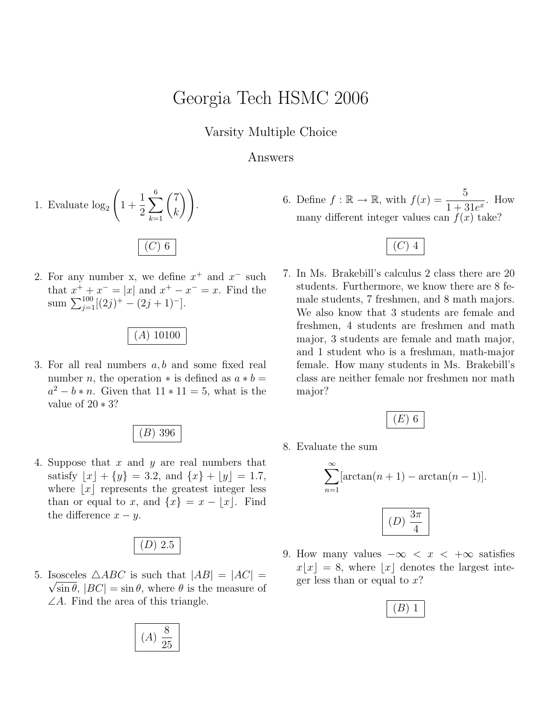## Georgia Tech HSMC 2006

Varsity Multiple Choice

## Answers

1. Evaluate 
$$
\log_2 \left( 1 + \frac{1}{2} \sum_{k=1}^{6} {7 \choose k} \right)
$$
.

2. For any number x, we define  $x^+$  and  $x^-$  such that  $x^+ + x^- = |x|$  and  $x^+ - x^- = x$ . Find the sum  $\sum_{j=1}^{100} [(2j)^+ - (2j+1)^-]$ .

(A) 10100

3. For all real numbers a, b and some fixed real number *n*, the operation  $*$  is defined as  $a * b =$  $a^2 - b * n$ . Given that  $11 * 11 = 5$ , what is the value of 20 ∗ 3?

(B) 396

4. Suppose that  $x$  and  $y$  are real numbers that satisfy  $|x| + \{y\} = 3.2$ , and  $\{x\} + |y| = 1.7$ , where  $|x|$  represents the greatest integer less than or equal to x, and  $\{x\} = x - \lfloor x \rfloor$ . Find. the difference  $x - y$ .

$$
(D) 2.5
$$

5. Isosceles  $\triangle ABC$  is such that  $|AB| = |AC| = \sqrt{2\pi}$  $\sqrt{\sin \theta}$ ,  $|BC| = \sin \theta$ , where  $\theta$  is the measure of  $\angle A$ . Find the area of this triangle.

$$
(A) \frac{8}{25}
$$

6. Define  $f : \mathbb{R} \to \mathbb{R}$ , with  $f(x) = \frac{5}{1+x^2}$  $\frac{3}{1+31e^x}$ . How many different integer values can  $f(x)$  take?

7. In Ms. Brakebill's calculus 2 class there are 20 students. Furthermore, we know there are 8 female students, 7 freshmen, and 8 math majors. We also know that 3 students are female and freshmen, 4 students are freshmen and math major, 3 students are female and math major, and 1 student who is a freshman, math-major female. How many students in Ms. Brakebill's class are neither female nor freshmen nor math major?

$$
\overline{(E) \ 6}
$$

8. Evaluate the sum

$$
\sum_{n=1}^{\infty} [\arctan(n+1) - \arctan(n-1)].
$$
  

$$
(D) \frac{3\pi}{4}
$$

9. How many values  $-\infty < x < +\infty$  satisfies  $x[x] = 8$ , where |x| denotes the largest integer less than or equal to  $x$ ?